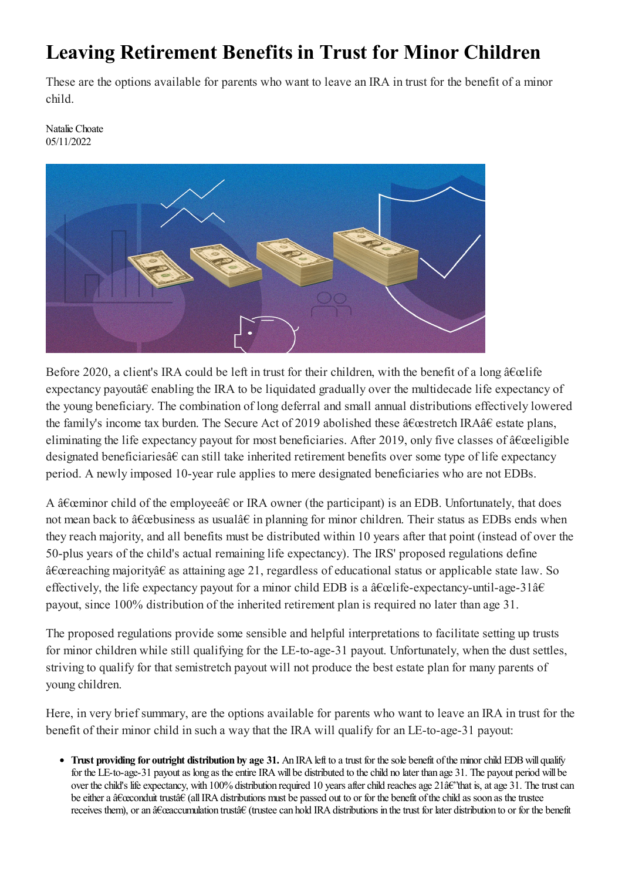## **Leaving Retirement Benefits in Trust for Minor Children**

These are the options available for parents who want to leave an IRA in trust for the benefit of a minor child.

Natalie Choate 05/11/2022



Before 2020, a client's IRA could be left in trust for their children, with the benefit of a long  $\hat{a} \in \hat{c}$ expectancy payoutâ€ enabling the IRA to be liquidated gradually over the multidecade life expectancy of the young beneficiary. The combination of long deferral and small annual distributions effectively lowered the family's income tax burden. The Secure Act of 2019 abolished these "stretch IRA†estate plans, eliminating the life expectancy payout for most beneficiaries. After 2019, only five classes of  $\hat{a} \in \hat{c}$  eligible designated beneficiariesâ€ can still take inherited retirement benefits over some type of life expectancy period. A newly imposed 10-year rule applies to mere designated beneficiaries who are not EDBs.

A  $\hat{a} \in \hat{c}$  at a few child of the employee  $\hat{a} \in \mathbb{R}$  owner (the participant) is an EDB. Unfortunately, that does not mean back to  $\hat{a}\epsilon$  business as usual $\hat{a}\epsilon$  in planning for minor children. Their status as EDBs ends when they reach majority, and all benefits must be distributed within 10 years after that point (instead of over the 50-plus years of the child's actual remaining life expectancy). The IRS' proposed regulations define "reaching majority†as attaining age 21, regardless of educational status or applicable state law. So effectively, the life expectancy payout for a minor child EDB is a  $\hat{a} \in \hat{c}$  expectancy-until-age-31 $\hat{a} \in \hat{c}$ payout, since 100% distribution of the inherited retirement plan is required no later than age 31.

The proposed regulations provide some sensible and helpful interpretations to facilitate setting up trusts for minor children while still qualifying for the LE-to-age-31 payout. Unfortunately, when the dust settles, striving to qualify for that semistretch payout will not produce the best estate plan for many parents of young children.

Here, in very brief summary, are the options available for parents who want to leave an IRA in trust for the benefit of their minor child in such a way that the IRA will qualify for an LE-to-age-31 payout:

**• Trust providing for outright distribution by age 31.** An IRA left to a trust for the sole benefit of the minor child EDB will qualify for the LE-to-age-31 payout as long as the entire IRA will be distributed to the child no later than age 31. The payout period will be over the child's life expectancy, with 100% distribution required 10 years after child reaches age 21 $\hat{a}\hat{\epsilon}$ 'that is, at age 31. The trust can be either a  $\hat{a}\in\hat{a}$  all IRA distributions must be passed out to or for the benefit of the child as soon as the trustee receives them), or an â€ceaccumulation trust†(trustee can hold IRA distributions in the trust for later distribution to or for the benefit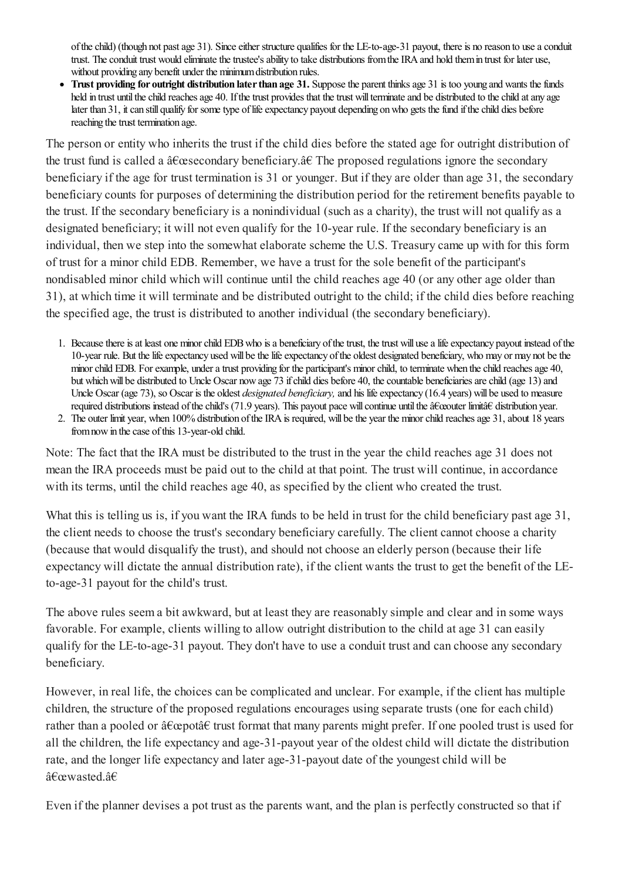of the child) (though not past age 31). Since either structure qualifies for the LE-to-age-31 payout, there is no reason to use a conduit trust. The conduit trust would eliminate the trustee's ability to take distributions from the IRA and hold them in trust for later use, without providing any benefit under the minimumdistribution rules.

• Trust providing for outright distribution later than age 31. Suppose the parent thinks age 31 is too young and wants the funds held in trust until the child reaches age 40. If the trust provides that the trust will terminate and be distributed to the child at any age later than 31, it can still qualify for some type of life expectancy payout depending on who gets the fund if the child dies before reaching the trust termination age.

The person or entity who inherits the trust if the child dies before the stated age for outright distribution of the trust fund is called a  $\hat{a} \in \mathcal{A}$  secondary beneficiary.  $\hat{a} \in \mathcal{A}$  The proposed regulations ignore the secondary beneficiary if the age for trust termination is 31 or younger. But if they are older than age 31, the secondary beneficiary counts for purposes of determining the distribution period for the retirement benefits payable to the trust. If the secondary beneficiary is a nonindividual (such as a charity), the trust will not qualify as a designated beneficiary; it will not even qualify for the 10-year rule. If the secondary beneficiary is an individual, then we step into the somewhat elaborate scheme the U.S. Treasury came up with for this form of trust for a minor child EDB. Remember, we have a trust for the sole benefit of the participant's nondisabled minor child which will continue until the child reaches age 40 (or any other age older than 31), at which time it will terminate and be distributed outright to the child; if the child dies before reaching the specified age, the trust is distributed to another individual (the secondary beneficiary).

- 1. Because there is at least one minor child EDB who is a beneficiary of the trust, the trust will use a life expectancy payout instead of the 10-year rule. But the life expectancy used will be the life expectancy of the oldest designated beneficiary, who may or may not be the minor child EDB. For example, under a trust providing for the participant's minor child, to terminate when the child reaches age 40, but which will be distributed to Uncle Oscar now age 73 if child dies before 40, the countable beneficiaries are child (age 13) and Uncle Oscar (age 73), so Oscar is the oldest *designated beneficiary*, and his life expectancy (16.4 years) will be used to measure required distributions instead of the child's (71.9 years). This payout pace will continue until the "outer limit†distribution year.
- 2. The outer limit year, when 100% distribution of the IRA is required, will be the year the minor child reaches age 31, about 18 years from now in the case of this 13-year-old child.

Note: The fact that the IRA must be distributed to the trust in the year the child reaches age 31 does not mean the IRA proceeds must be paid out to the child at that point. The trust will continue, in accordance with its terms, until the child reaches age 40, as specified by the client who created the trust.

What this is telling us is, if you want the IRA funds to be held in trust for the child beneficiary past age 31, the client needs to choose the trust's secondary beneficiary carefully. The client cannot choose a charity (because that would disqualify the trust), and should not choose an elderly person (because their life expectancy will dictate the annual distribution rate), if the client wants the trust to get the benefit of the LEto-age-31 payout for the child's trust.

The above rules seema bit awkward, but at least they are reasonably simple and clear and in some ways favorable. For example, clients willing to allow outright distribution to the child at age 31 can easily qualify for the LE-to-age-31 payout. They don't have to use a conduit trust and can choose any secondary beneficiary.

However, in real life, the choices can be complicated and unclear. For example, if the client has multiple children, the structure of the proposed regulations encourages using separate trusts (one for each child) rather than a pooled or  $\hat{a} \in \mathcal{C}$  trust format that many parents might prefer. If one pooled trust is used for all the children, the life expectancy and age-31-payout year of the oldest child will dictate the distribution rate, and the longer life expectancy and later age-31-payout date of the youngest child will be "wasted.â€

Even if the planner devises a pot trust as the parents want, and the plan is perfectly constructed so that if